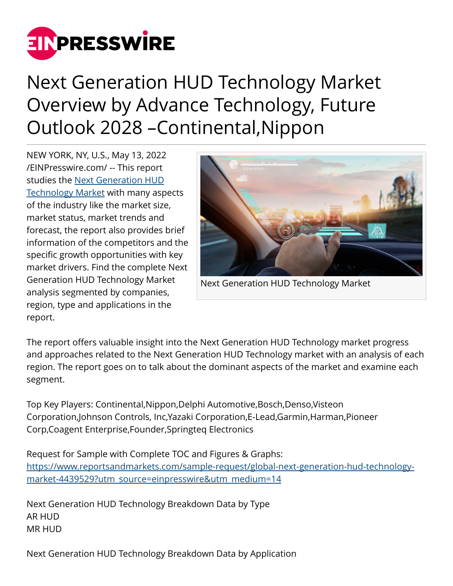

## Next Generation HUD Technology Market Overview by Advance Technology, Future Outlook 2028 –Continental,Nippon

NEW YORK, NY, U.S., May 13, 2022 [/EINPresswire.com/](http://www.einpresswire.com) -- This report studies the [Next Generation HUD](https://www.reportsandmarkets.com/reports/global-next-generation-hud-technology-market-4439529?utm_source=einpresswire&utm_medium=14) [Technology Market](https://www.reportsandmarkets.com/reports/global-next-generation-hud-technology-market-4439529?utm_source=einpresswire&utm_medium=14) with many aspects of the industry like the market size, market status, market trends and forecast, the report also provides brief information of the competitors and the specific growth opportunities with key market drivers. Find the complete Next Generation HUD Technology Market analysis segmented by companies, region, type and applications in the report.



Next Generation HUD Technology Market

The report offers valuable insight into the Next Generation HUD Technology market progress and approaches related to the Next Generation HUD Technology market with an analysis of each region. The report goes on to talk about the dominant aspects of the market and examine each segment.

Top Key Players: Continental,Nippon,Delphi Automotive,Bosch,Denso,Visteon Corporation,Johnson Controls, Inc,Yazaki Corporation,E-Lead,Garmin,Harman,Pioneer Corp,Coagent Enterprise,Founder,Springteq Electronics

Request for Sample with Complete TOC and Figures & Graphs: [https://www.reportsandmarkets.com/sample-request/global-next-generation-hud-technology](https://www.reportsandmarkets.com/sample-request/global-next-generation-hud-technology-market-4439529?utm_source=einpresswire&utm_medium=14)[market-4439529?utm\\_source=einpresswire&utm\\_medium=14](https://www.reportsandmarkets.com/sample-request/global-next-generation-hud-technology-market-4439529?utm_source=einpresswire&utm_medium=14)

Next Generation HUD Technology Breakdown Data by Type AR HUD MR HUD

Next Generation HUD Technology Breakdown Data by Application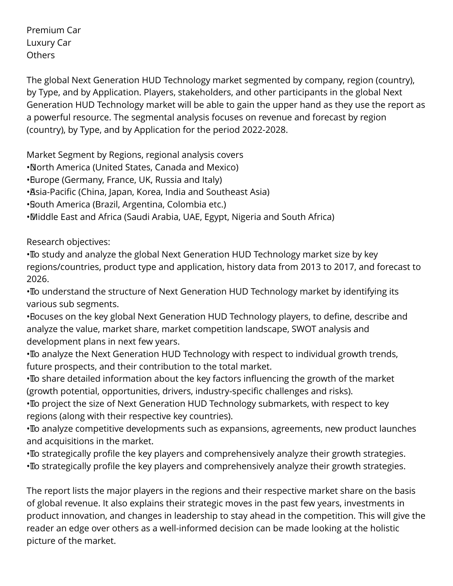Premium Car Luxury Car **Others** 

The global Next Generation HUD Technology market segmented by company, region (country), by Type, and by Application. Players, stakeholders, and other participants in the global Next Generation HUD Technology market will be able to gain the upper hand as they use the report as a powerful resource. The segmental analysis focuses on revenue and forecast by region (country), by Type, and by Application for the period 2022-2028.

Market Segment by Regions, regional analysis covers

- • North America (United States, Canada and Mexico)
- Burope (Germany, France, UK, Russia and Italy)
- • Asia-Pacific (China, Japan, Korea, India and Southeast Asia)
- • South America (Brazil, Argentina, Colombia etc.)
- • Middle East and Africa (Saudi Arabia, UAE, Egypt, Nigeria and South Africa)

Research objectives:

• To study and analyze the global Next Generation HUD Technology market size by key regions/countries, product type and application, history data from 2013 to 2017, and forecast to 2026.

• To understand the structure of Next Generation HUD Technology market by identifying its various sub segments.

• Bocuses on the key global Next Generation HUD Technology players, to define, describe and analyze the value, market share, market competition landscape, SWOT analysis and development plans in next few years.

• To analyze the Next Generation HUD Technology with respect to individual growth trends, future prospects, and their contribution to the total market.

• To share detailed information about the key factors influencing the growth of the market (growth potential, opportunities, drivers, industry-specific challenges and risks).

• To project the size of Next Generation HUD Technology submarkets, with respect to key regions (along with their respective key countries).

• To analyze competitive developments such as expansions, agreements, new product launches and acquisitions in the market.

• To strategically profile the key players and comprehensively analyze their growth strategies. • To strategically profile the key players and comprehensively analyze their growth strategies.

The report lists the major players in the regions and their respective market share on the basis of global revenue. It also explains their strategic moves in the past few years, investments in product innovation, and changes in leadership to stay ahead in the competition. This will give the reader an edge over others as a well-informed decision can be made looking at the holistic picture of the market.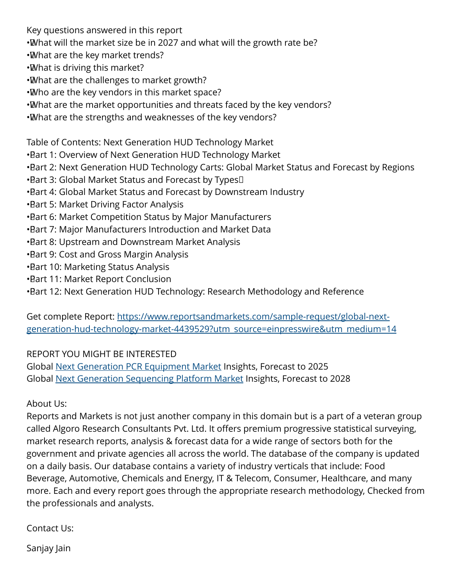Key questions answered in this report

- •What will the market size be in 2027 and what will the growth rate be?
- • What are the key market trends?
- • What is driving this market?
- • What are the challenges to market growth?
- • Who are the key vendors in this market space?
- • What are the market opportunities and threats faced by the key vendors?
- • What are the strengths and weaknesses of the key vendors?

Table of Contents: Next Generation HUD Technology Market

- • Part 1: Overview of Next Generation HUD Technology Market
- Bart 2: Next Generation HUD Technology Carts: Global Market Status and Forecast by Regions
- Bart 3: Global Market Status and Forecast by Types [1]
- Bart 4: Global Market Status and Forecast by Downstream Industry
- **Bart 5: Market Driving Factor Analysis**
- • Part 6: Market Competition Status by Major Manufacturers
- Bart 7: Major Manufacturers Introduction and Market Data
- **Bart 8: Upstream and Downstream Market Analysis**
- **Bart 9: Cost and Gross Margin Analysis**
- **Bart 10: Marketing Status Analysis**
- • Part 11: Market Report Conclusion
- Bart 12: Next Generation HUD Technology: Research Methodology and Reference

Get complete Report: [https://www.reportsandmarkets.com/sample-request/global-next](https://www.reportsandmarkets.com/sample-request/global-next-generation-hud-technology-market-4439529?utm_source=einpresswire&utm_medium=14)[generation-hud-technology-market-4439529?utm\\_source=einpresswire&utm\\_medium=14](https://www.reportsandmarkets.com/sample-request/global-next-generation-hud-technology-market-4439529?utm_source=einpresswire&utm_medium=14)

## REPORT YOU MIGHT BE INTERESTED

Global [Next Generation PCR Equipment Market](https://www.reportsandmarkets.com/reports/global-next-generation-pcr-equipment-market-2390858?utm_source=einpresswire&utm_medium=14) Insights, Forecast to 2025 Global [Next Generation Sequencing Platform Market](https://www.reportsandmarkets.com/reports/global-next-generation-sequencing-platform-market-4431987?utm_source=einpresswire&utm_medium=14) Insights, Forecast to 2028

## About Us:

Reports and Markets is not just another company in this domain but is a part of a veteran group called Algoro Research Consultants Pvt. Ltd. It offers premium progressive statistical surveying, market research reports, analysis & forecast data for a wide range of sectors both for the government and private agencies all across the world. The database of the company is updated on a daily basis. Our database contains a variety of industry verticals that include: Food Beverage, Automotive, Chemicals and Energy, IT & Telecom, Consumer, Healthcare, and many more. Each and every report goes through the appropriate research methodology, Checked from the professionals and analysts.

Contact Us:

Sanjay Jain